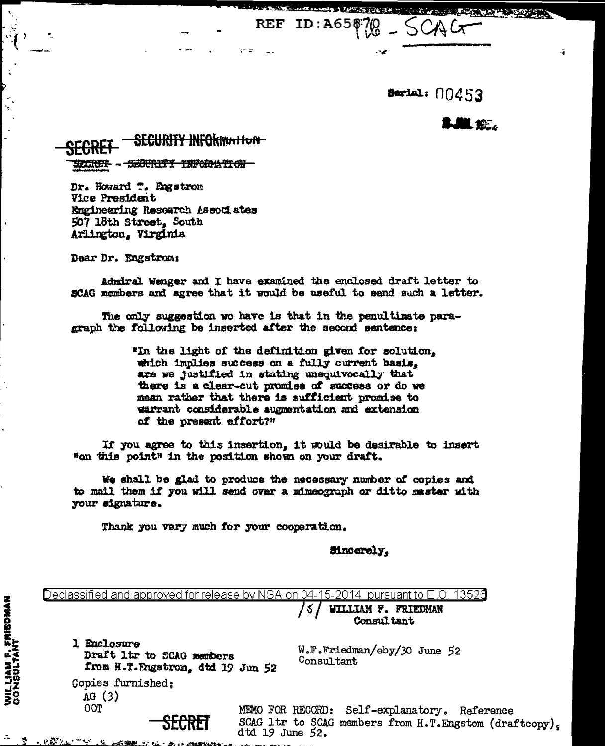Serial: 00453

ID: A65\$70

lin kel

13526

**STATE AND PROPERTY** 

 $\ddot{\bullet}$ 

## <del>SECURITY INFORMATION</del> - SECURITY INFORMATION SECRET-

Dr. Howard ". Engstrom Vice President Engineering Resoarch Associates 507 18th Street, South Arlington, Virginia

Dear Dr. Engstrom:

Admiral Wenger and I have examined the enclosed draft letter to SCAG members and agree that it would be useful to send such a letter.

REF

The only suggestion we have is that in the penultimate paragraph the following be inserted after the second sentence:

> "In the light of the definition given for solution, which implies success on a fully current basis. are we justified in stating unequivocally that there is a clear-cut promise of success or do we mean rather that there is sufficient promise to warrant considerable augmentation and extension of the present effort?"

If you agree to this insertion, it would be desirable to insert "on this point" in the position shown on your draft.

We shall be glad to produce the necessary number of copies and to mail them if you will send over a mimeograph or ditto master with your signature.

ک ا

Thank you very much for your cooperation.

**Sincerely,** 

W.F.Friedman/eby/30 June 52 Consultant

WILLIAM F. FRIEDMAN

Consultant

MEMO FOR RECORD: Self-explanatory. Reference SCAG ltr to SCAG members from H.T. Engstom (draftcopy),  $dtd$  19 June 52.